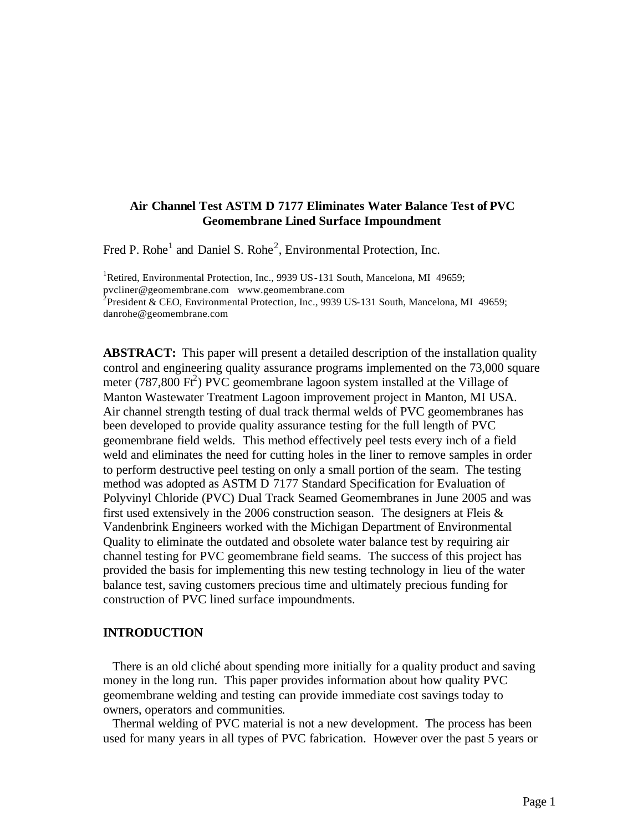## **Air Channel Test ASTM D 7177 Eliminates Water Balance Test of PVC Geomembrane Lined Surface Impoundment**

Fred P. Rohe<sup>1</sup> and Daniel S. Rohe<sup>2</sup>, Environmental Protection, Inc.

<sup>1</sup>Retired, Environmental Protection, Inc., 9939 US-131 South, Mancelona, MI 49659; pvcliner@geomembrane.com www.geomembrane.com <sup>2</sup> President & CEO, Environmental Protection, Inc., 9939 US-131 South, Mancelona, MI 49659; danrohe@geomembrane.com

**ABSTRACT:** This paper will present a detailed description of the installation quality control and engineering quality assurance programs implemented on the 73,000 square meter (787,800  $\overrightarrow{Ft}$ ) PVC geomembrane lagoon system installed at the Village of Manton Wastewater Treatment Lagoon improvement project in Manton, MI USA. Air channel strength testing of dual track thermal welds of PVC geomembranes has been developed to provide quality assurance testing for the full length of PVC geomembrane field welds. This method effectively peel tests every inch of a field weld and eliminates the need for cutting holes in the liner to remove samples in order to perform destructive peel testing on only a small portion of the seam. The testing method was adopted as ASTM D 7177 Standard Specification for Evaluation of Polyvinyl Chloride (PVC) Dual Track Seamed Geomembranes in June 2005 and was first used extensively in the 2006 construction season. The designers at Fleis  $\&$ Vandenbrink Engineers worked with the Michigan Department of Environmental Quality to eliminate the outdated and obsolete water balance test by requiring air channel testing for PVC geomembrane field seams. The success of this project has provided the basis for implementing this new testing technology in lieu of the water balance test, saving customers precious time and ultimately precious funding for construction of PVC lined surface impoundments.

## **INTRODUCTION**

 There is an old cliché about spending more initially for a quality product and saving money in the long run. This paper provides information about how quality PVC geomembrane welding and testing can provide immediate cost savings today to owners, operators and communities.

 Thermal welding of PVC material is not a new development. The process has been used for many years in all types of PVC fabrication. However over the past 5 years or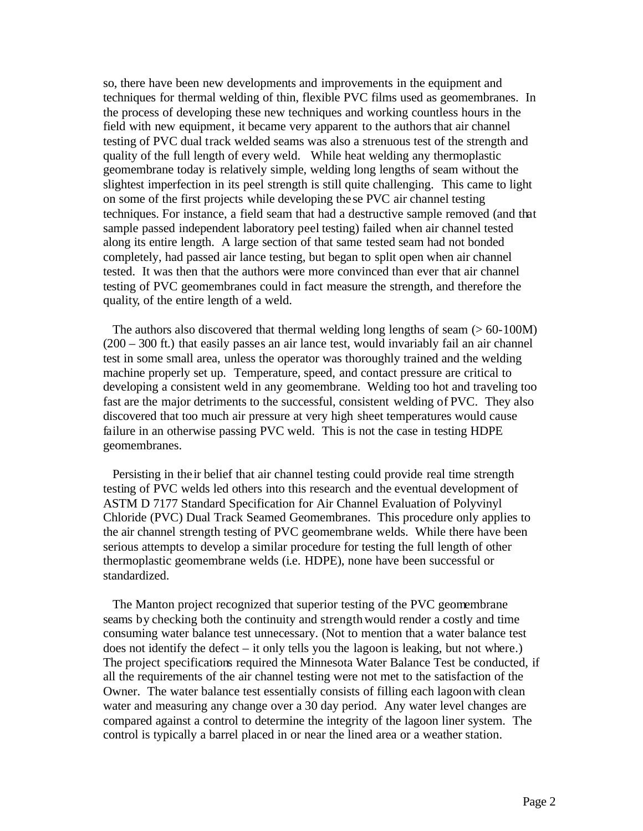so, there have been new developments and improvements in the equipment and techniques for thermal welding of thin, flexible PVC films used as geomembranes. In the process of developing these new techniques and working countless hours in the field with new equipment, it became very apparent to the authors that air channel testing of PVC dual track welded seams was also a strenuous test of the strength and quality of the full length of every weld. While heat welding any thermoplastic geomembrane today is relatively simple, welding long lengths of seam without the slightest imperfection in its peel strength is still quite challenging. This came to light on some of the first projects while developing the se PVC air channel testing techniques. For instance, a field seam that had a destructive sample removed (and that sample passed independent laboratory peel testing) failed when air channel tested along its entire length. A large section of that same tested seam had not bonded completely, had passed air lance testing, but began to split open when air channel tested. It was then that the authors were more convinced than ever that air channel testing of PVC geomembranes could in fact measure the strength, and therefore the quality, of the entire length of a weld.

The authors also discovered that thermal welding long lengths of seam  $(> 60-100M)$ (200 – 300 ft.) that easily passes an air lance test, would invariably fail an air channel test in some small area, unless the operator was thoroughly trained and the welding machine properly set up. Temperature, speed, and contact pressure are critical to developing a consistent weld in any geomembrane. Welding too hot and traveling too fast are the major detriments to the successful, consistent welding of PVC. They also discovered that too much air pressure at very high sheet temperatures would cause failure in an otherwise passing PVC weld. This is not the case in testing HDPE geomembranes.

 Persisting in the ir belief that air channel testing could provide real time strength testing of PVC welds led others into this research and the eventual development of ASTM D 7177 Standard Specification for Air Channel Evaluation of Polyvinyl Chloride (PVC) Dual Track Seamed Geomembranes. This procedure only applies to the air channel strength testing of PVC geomembrane welds. While there have been serious attempts to develop a similar procedure for testing the full length of other thermoplastic geomembrane welds (i.e. HDPE), none have been successful or standardized.

 The Manton project recognized that superior testing of the PVC geomembrane seams by checking both the continuity and strengthwould render a costly and time consuming water balance test unnecessary. (Not to mention that a water balance test does not identify the defect – it only tells you the lagoon is leaking, but not where.) The project specifications required the Minnesota Water Balance Test be conducted, if all the requirements of the air channel testing were not met to the satisfaction of the Owner. The water balance test essentially consists of filling each lagoon with clean water and measuring any change over a 30 day period. Any water level changes are compared against a control to determine the integrity of the lagoon liner system. The control is typically a barrel placed in or near the lined area or a weather station.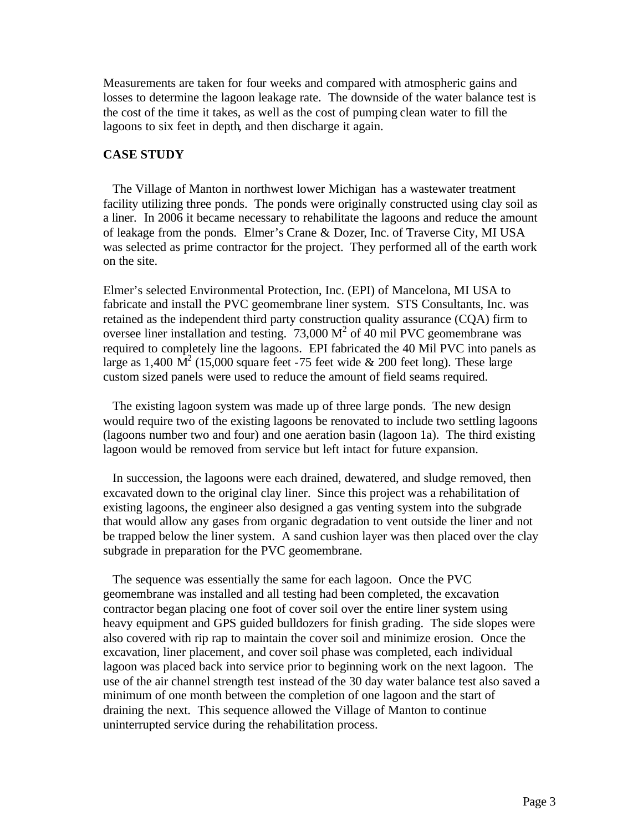Measurements are taken for four weeks and compared with atmospheric gains and losses to determine the lagoon leakage rate. The downside of the water balance test is the cost of the time it takes, as well as the cost of pumping clean water to fill the lagoons to six feet in depth, and then discharge it again.

#### **CASE STUDY**

 The Village of Manton in northwest lower Michigan has a wastewater treatment facility utilizing three ponds. The ponds were originally constructed using clay soil as a liner. In 2006 it became necessary to rehabilitate the lagoons and reduce the amount of leakage from the ponds. Elmer's Crane & Dozer, Inc. of Traverse City, MI USA was selected as prime contractor for the project. They performed all of the earth work on the site.

Elmer's selected Environmental Protection, Inc. (EPI) of Mancelona, MI USA to fabricate and install the PVC geomembrane liner system. STS Consultants, Inc. was retained as the independent third party construction quality assurance (CQA) firm to oversee liner installation and testing.  $73,000 \text{ M}^2$  of  $40 \text{ mil}$  PVC geomembrane was required to completely line the lagoons. EPI fabricated the 40 Mil PVC into panels as large as 1,400  $\dot{M}^2$  (15,000 square feet -75 feet wide & 200 feet long). These large custom sized panels were used to reduce the amount of field seams required.

 The existing lagoon system was made up of three large ponds. The new design would require two of the existing lagoons be renovated to include two settling lagoons (lagoons number two and four) and one aeration basin (lagoon 1a). The third existing lagoon would be removed from service but left intact for future expansion.

 In succession, the lagoons were each drained, dewatered, and sludge removed, then excavated down to the original clay liner. Since this project was a rehabilitation of existing lagoons, the engineer also designed a gas venting system into the subgrade that would allow any gases from organic degradation to vent outside the liner and not be trapped below the liner system. A sand cushion layer was then placed over the clay subgrade in preparation for the PVC geomembrane.

 The sequence was essentially the same for each lagoon. Once the PVC geomembrane was installed and all testing had been completed, the excavation contractor began placing one foot of cover soil over the entire liner system using heavy equipment and GPS guided bulldozers for finish grading. The side slopes were also covered with rip rap to maintain the cover soil and minimize erosion. Once the excavation, liner placement, and cover soil phase was completed, each individual lagoon was placed back into service prior to beginning work on the next lagoon. The use of the air channel strength test instead of the 30 day water balance test also saved a minimum of one month between the completion of one lagoon and the start of draining the next. This sequence allowed the Village of Manton to continue uninterrupted service during the rehabilitation process.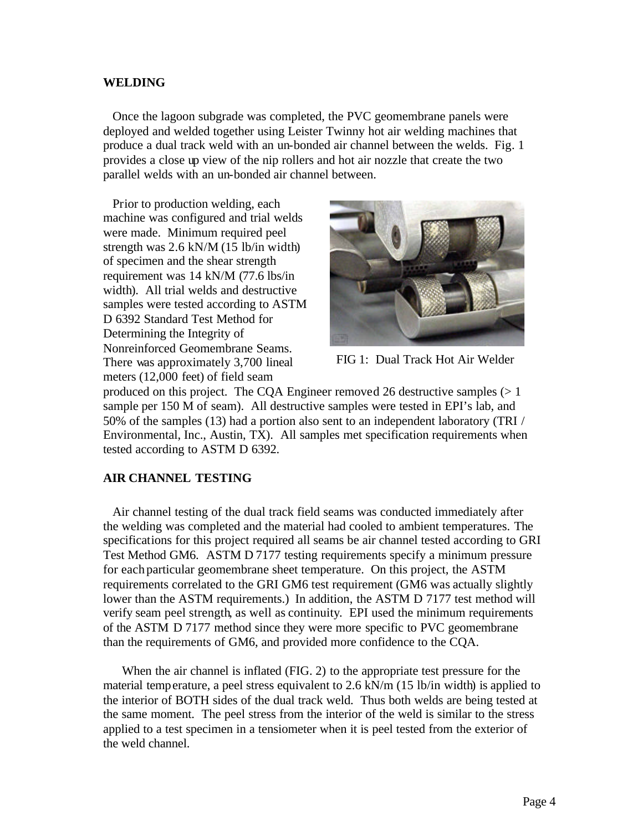#### **WELDING**

 Once the lagoon subgrade was completed, the PVC geomembrane panels were deployed and welded together using Leister Twinny hot air welding machines that produce a dual track weld with an un-bonded air channel between the welds. Fig. 1 provides a close up view of the nip rollers and hot air nozzle that create the two parallel welds with an un-bonded air channel between.

 Prior to production welding, each machine was configured and trial welds were made. Minimum required peel strength was 2.6 kN/M (15 lb/in width) of specimen and the shear strength requirement was 14 kN/M (77.6 lbs/in width). All trial welds and destructive samples were tested according to ASTM D 6392 Standard Test Method for Determining the Integrity of Nonreinforced Geomembrane Seams. There was approximately 3,700 lineal meters (12,000 feet) of field seam



FIG 1: Dual Track Hot Air Welder

produced on this project. The CQA Engineer removed 26 destructive samples  $(>1)$ sample per 150 M of seam). All destructive samples were tested in EPI's lab, and 50% of the samples (13) had a portion also sent to an independent laboratory (TRI / Environmental, Inc., Austin, TX). All samples met specification requirements when tested according to ASTM D 6392.

## **AIR CHANNEL TESTING**

 Air channel testing of the dual track field seams was conducted immediately after the welding was completed and the material had cooled to ambient temperatures. The specifications for this project required all seams be air channel tested according to GRI Test Method GM6. ASTM D 7177 testing requirements specify a minimum pressure for each particular geomembrane sheet temperature. On this project, the ASTM requirements correlated to the GRI GM6 test requirement (GM6 was actually slightly lower than the ASTM requirements.) In addition, the ASTM D 7177 test method will verify seam peel strength, as well as continuity. EPI used the minimum requirements of the ASTM D 7177 method since they were more specific to PVC geomembrane than the requirements of GM6, and provided more confidence to the CQA.

 When the air channel is inflated (FIG. 2) to the appropriate test pressure for the material temperature, a peel stress equivalent to 2.6 kN/m (15 lb/in width) is applied to the interior of BOTH sides of the dual track weld. Thus both welds are being tested at the same moment. The peel stress from the interior of the weld is similar to the stress applied to a test specimen in a tensiometer when it is peel tested from the exterior of the weld channel.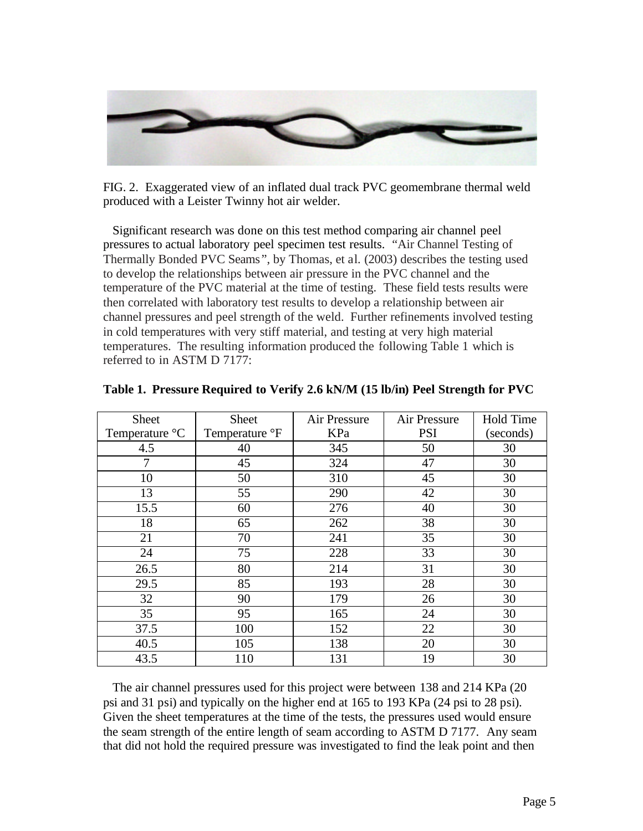

FIG. 2. Exaggerated view of an inflated dual track PVC geomembrane thermal weld produced with a Leister Twinny hot air welder.

 Significant research was done on this test method comparing air channel peel pressures to actual laboratory peel specimen test results. "Air Channel Testing of Thermally Bonded PVC Seams", by Thomas, et al. (2003) describes the testing used to develop the relationships between air pressure in the PVC channel and the temperature of the PVC material at the time of testing. These field tests results were then correlated with laboratory test results to develop a relationship between air channel pressures and peel strength of the weld. Further refinements involved testing in cold temperatures with very stiff material, and testing at very high material temperatures. The resulting information produced the following Table 1 which is referred to in ASTM D 7177:

| <b>Sheet</b>   | <b>Sheet</b>   | Air Pressure<br>Air Pressure |            | <b>Hold Time</b> |
|----------------|----------------|------------------------------|------------|------------------|
| Temperature °C | Temperature °F | KPa                          | <b>PSI</b> | (seconds)        |
| 4.5            | 40             | 345                          | 50         | 30               |
| 7              | 45             | 324                          | 47         | 30               |
| 10             | 50             | 310                          | 45         | 30               |
| 13             | 55             | 290                          | 42         | 30               |
| 15.5           | 60             | 276                          | 40         | 30               |
| 18             | 65             | 262                          | 38         | 30               |
| 21             | 70             | 241                          | 35         | 30               |
| 24             | 75             | 228                          | 33         | 30               |
| 26.5           | 80             | 214                          | 31         | 30               |
| 29.5           | 85             | 193                          | 28         | 30               |
| 32             | 90             | 179                          | 26         | 30               |
| 35             | 95             | 165                          | 24         | 30               |
| 37.5           | 100            | 152                          | 22         | 30               |
| 40.5           | 105            | 138                          | 20         | 30               |
| 43.5           | 110            | 131                          | 19         | 30               |

|  |  |  | Table 1. Pressure Required to Verify 2.6 kN/M (15 lb/in) Peel Strength for PVC |
|--|--|--|--------------------------------------------------------------------------------|
|  |  |  |                                                                                |

 The air channel pressures used for this project were between 138 and 214 KPa (20 psi and 31 psi) and typically on the higher end at 165 to 193 KPa (24 psi to 28 psi). Given the sheet temperatures at the time of the tests, the pressures used would ensure the seam strength of the entire length of seam according to ASTM D 7177. Any seam that did not hold the required pressure was investigated to find the leak point and then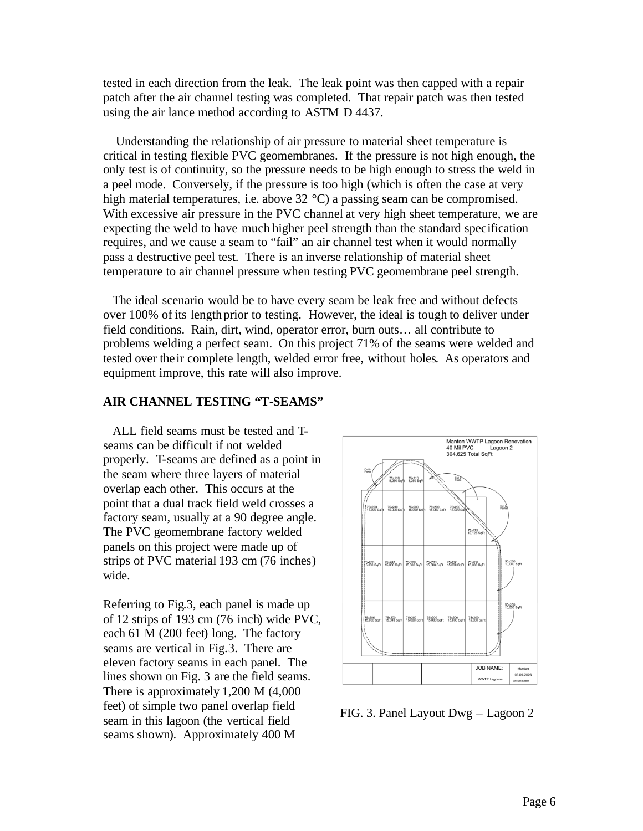tested in each direction from the leak. The leak point was then capped with a repair patch after the air channel testing was completed. That repair patch was then tested using the air lance method according to ASTM D 4437.

 Understanding the relationship of air pressure to material sheet temperature is critical in testing flexible PVC geomembranes. If the pressure is not high enough, the only test is of continuity, so the pressure needs to be high enough to stress the weld in a peel mode. Conversely, if the pressure is too high (which is often the case at very high material temperatures, i.e. above 32 °C) a passing seam can be compromised. With excessive air pressure in the PVC channel at very high sheet temperature, we are expecting the weld to have much higher peel strength than the standard specification requires, and we cause a seam to "fail" an air channel test when it would normally pass a destructive peel test. There is an inverse relationship of material sheet temperature to air channel pressure when testing PVC geomembrane peel strength.

 The ideal scenario would be to have every seam be leak free and without defects over 100% of its length prior to testing. However, the ideal is tough to deliver under field conditions. Rain, dirt, wind, operator error, burn outs… all contribute to problems welding a perfect seam. On this project 71% of the seams were welded and tested over the ir complete length, welded error free, without holes. As operators and equipment improve, this rate will also improve.

# **AIR CHANNEL TESTING "T-SEAMS"**

 ALL field seams must be tested and Tseams can be difficult if not welded properly. T-seams are defined as a point in the seam where three layers of material overlap each other. This occurs at the point that a dual track field weld crosses a factory seam, usually at a 90 degree angle. The PVC geomembrane factory welded panels on this project were made up of strips of PVC material 193 cm (76 inches) wide.

Referring to Fig.3, each panel is made up of 12 strips of 193 cm (76 inch) wide PVC, each 61 M (200 feet) long. The factory seams are vertical in Fig.3. There are eleven factory seams in each panel. The lines shown on Fig. 3 are the field seams. There is approximately 1,200 M (4,000 feet) of simple two panel overlap field seam in this lagoon (the vertical field seams shown). Approximately 400 M



FIG. 3. Panel Layout Dwg – Lagoon 2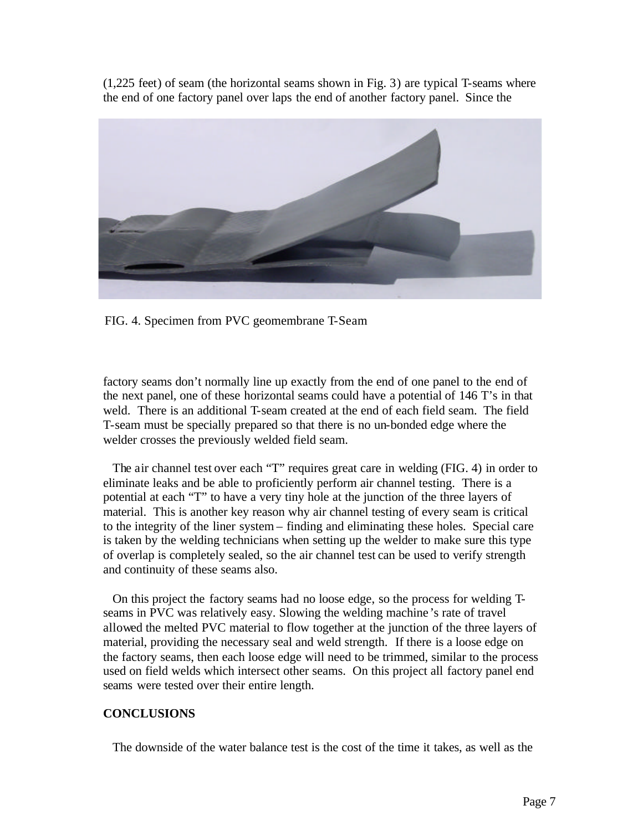(1,225 feet) of seam (the horizontal seams shown in Fig. 3) are typical T-seams where the end of one factory panel over laps the end of another factory panel. Since the



FIG. 4. Specimen from PVC geomembrane T-Seam

factory seams don't normally line up exactly from the end of one panel to the end of the next panel, one of these horizontal seams could have a potential of 146 T's in that weld. There is an additional T-seam created at the end of each field seam. The field T-seam must be specially prepared so that there is no un-bonded edge where the welder crosses the previously welded field seam.

 The air channel test over each "T" requires great care in welding (FIG. 4) in order to eliminate leaks and be able to proficiently perform air channel testing. There is a potential at each "T" to have a very tiny hole at the junction of the three layers of material. This is another key reason why air channel testing of every seam is critical to the integrity of the liner system – finding and eliminating these holes. Special care is taken by the welding technicians when setting up the welder to make sure this type of overlap is completely sealed, so the air channel test can be used to verify strength and continuity of these seams also.

 On this project the factory seams had no loose edge, so the process for welding Tseams in PVC was relatively easy. Slowing the welding machine 's rate of travel allowed the melted PVC material to flow together at the junction of the three layers of material, providing the necessary seal and weld strength. If there is a loose edge on the factory seams, then each loose edge will need to be trimmed, similar to the process used on field welds which intersect other seams. On this project all factory panel end seams were tested over their entire length.

## **CONCLUSIONS**

The downside of the water balance test is the cost of the time it takes, as well as the